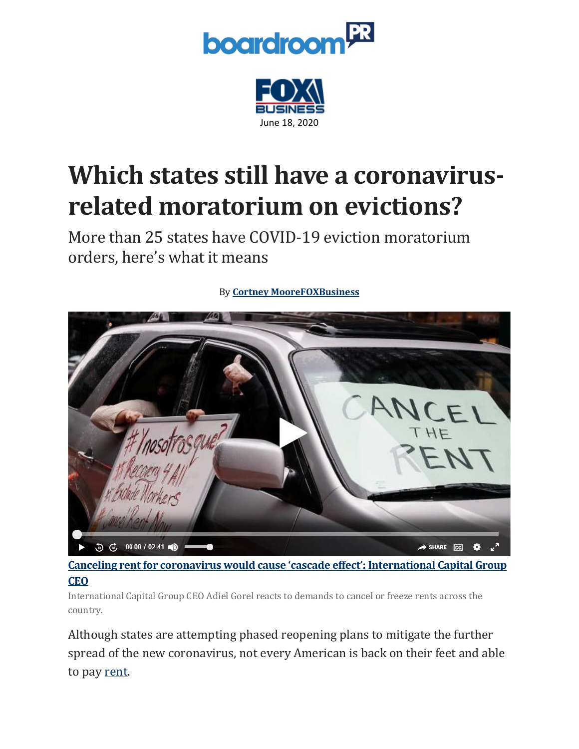



## **Which states still have a coronavirusrelated moratorium on evictions?**

More than 25 states have COVID-19 eviction moratorium orders, here's what it means



By **[Cortney](https://www.foxbusiness.com/person/m/cortney-moore) Moor[eFOXBusiness](http://www.foxbusiness.com/index.html)**

**Canceling rent for coronavirus would cause 'cascade effect': [International](http://video.foxbusiness.com/v/6154333881001) Capital Group [CEO](http://video.foxbusiness.com/v/6154333881001)**

International Capital Group CEO Adiel Gorel reacts to demands to cancel or freeze rents across the country.

Although states are attempting phased reopening plans to mitigate the further spread of the new coronavirus, not every American is back on their feet and able to pay [rent.](https://www.foxbusiness.com/foxbusiness.com/tag/real-estate)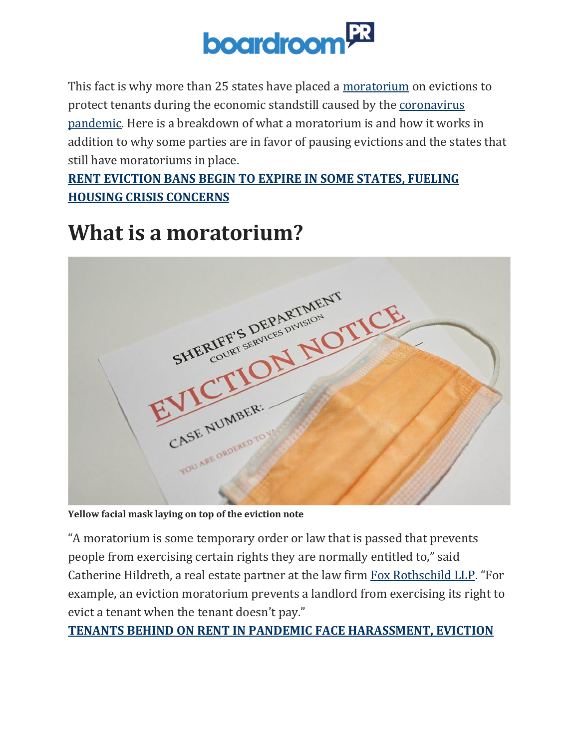

This fact is why more than 25 states have placed a [moratorium](https://www.foxbusiness.com/foxbusiness.com/tag/legal) on evictions to protect tenants during the economic standstill caused by the [coronavirus](https://www.foxbusiness.com/foxbusiness.com/tag/coronavirus) [pandemic.](https://www.foxbusiness.com/foxbusiness.com/tag/coronavirus) Here is a breakdown of what a moratorium is and how it works in addition to why some parties are in favor of pausing evictions and the states that still have moratoriums in place.

#### **RENT [EVICTION](https://www.foxbusiness.com/money/rent-eviction-bans-expire-some-states-housing-crisis) BANS BEGIN TO EXPIRE IN SOME STATES, FUELING HOUSING CRISIS [CONCERNS](https://www.foxbusiness.com/money/rent-eviction-bans-expire-some-states-housing-crisis)**

#### **What is a moratorium?**



**Yellow facial mask laying on top of the eviction note**

"A moratorium is some temporary order or law that is passed that prevents people from exercising certain rights they are normally entitled to," said Catherine Hildreth, a real estate partner at the law firm Fox [Rothschild](https://www.foxrothschild.com/) LLP. "For example, an eviction moratorium prevents a landlord from exercising its right to evict a tenant when the tenant doesn't pay."

**TENANTS BEHIND ON RENT IN PANDEMIC FACE [HARASSMENT,](https://www.foxbusiness.com/money/tenants-behind-on-rent-in-pandemic-face-harassment-eviction) EVICTION**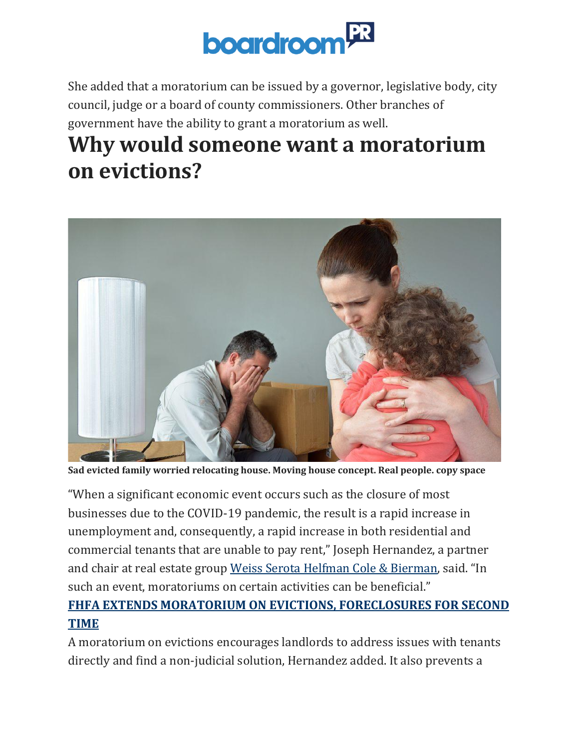

She added that a moratorium can be issued by a governor, legislative body, city council, judge or a board of county commissioners. Other branches of government have the ability to grant a moratorium as well.

### **Why would someone want a moratorium on evictions?**



**Sad evicted family worried relocating house. Moving house concept. Real people. copy space**

"When a significant economic event occurs such as the closure of most businesses due to the COVID-19 pandemic, the result is a rapid increase in unemployment and, consequently, a rapid increase in both residential and commercial tenants that are unable to pay rent," Joseph Hernandez, a partner and chair at real estate group Weiss Serota Helfman Cole & [Bierman](https://www.wsh-law.com/), said. "In such an event, moratoriums on certain activities can be beneficial."

#### **FHFA EXTENDS MORATORIUM ON EVICTIONS, [FORECLOSURES](https://www.foxbusiness.com/real-estate/fhfa-extends-moratorium-evictions-foreclosures) FOR SECOND [TIME](https://www.foxbusiness.com/real-estate/fhfa-extends-moratorium-evictions-foreclosures)**

A moratorium on evictions encourages landlords to address issues with tenants directly and find a non-judicial solution, Hernandez added. It also prevents a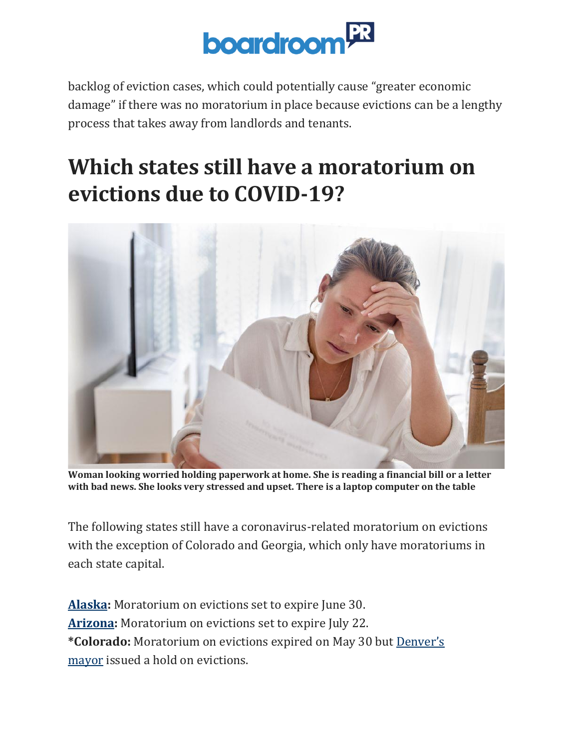

backlog of eviction cases, which could potentially cause "greater economic damage" if there was no moratorium in place because evictions can be a lengthy process that takes away from landlords and tenants.

## **Which states still have a moratorium on evictions due to COVID-19?**



**Woman looking worried holding paperwork at home. She is reading a financial bill or a letter with bad news. She looks very stressed and upset. There is a laptop computer on the table**

The following states still have a coronavirus-related moratorium on evictions with the exception of Colorado and Georgia, which only have moratoriums in each state capital.

**[Alaska:](https://www.akleg.gov/basis/Bill/Text/31?Hsid=SB0241E)** Moratorium on evictions set to expire June 30. **[Arizona:](https://azgovernor.gov/governor/news/2020/03/governor-ducey-issues-order-delaying-evictions-renters-impacted-covid-19)** Moratorium on evictions set to expire July 22. **\*Colorado:** Moratorium on evictions expired on May 30 but [Denver's](https://www.denvergov.org/content/denvergov/en/mayors-office/newsroom/2020/city-and-county-of-denver-covid-19-response-update.html) [mayor](https://www.denvergov.org/content/denvergov/en/mayors-office/newsroom/2020/city-and-county-of-denver-covid-19-response-update.html) issued a hold on evictions.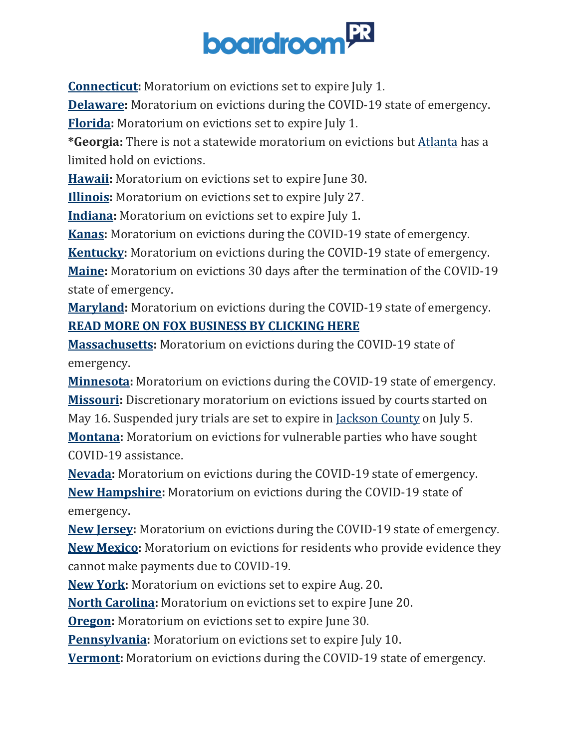# **boardroom**

**[Connecticut:](https://portal.ct.gov/-/media/Office-of-the-Governor/Executive-Orders/Lamont-Executive-Orders/Executive-Order-No-7X.pdf?la=en)** Moratorium on evictions set to expire July 1.

**[Delaware:](https://governor.delaware.gov/wp-content/uploads/sites/24/2020/03/Sixth-Modification-to-State-of-Emergency-03242020.pdf)** Moratorium on evictions during the COVID-19 state of emergency.

**[Florida:](https://www.flgov.com/wp-content/uploads/orders/2020/EO_20-137.pdf)** Moratorium on evictions set to expire July 1.

**\*Georgia:** There is not a statewide moratorium on evictions but [Atlanta](https://www.atlantaga.gov/Home/ShowDocument?id=45476) has a limited hold on evictions.

**[Hawaii:](https://governor.hawaii.gov/wp-content/uploads/2020/05/2005088-ATG_Eighth-Supplementary-Proclamation-for-COVID-19-distribution-signed.pdf)** Moratorium on evictions set to expire June 30.

**[Illinois:](https://www2.illinois.gov/Pages/Executive-Orders/ExecutiveOrder2020-39.aspx)** Moratorium on evictions set to expire July 27.

**[Indiana:](https://www.in.gov/gov/files/Executive%20Order%2020-28%20(Reopen%20Stage3).pdf)** Moratorium on evictions set to expire July 1.

**[Kanas:](https://governor.kansas.gov/wp-content/uploads/2020/03/EO-20-10-Executed.pdf)** Moratorium on evictions during the COVID-19 state of emergency.

**[Kentucky:](https://governor.ky.gov/attachments/20200306_Executive-Order_2020-215.pdf)** Moratorium on evictions during the COVID-19 state of emergency.

**[Maine:](https://www.maine.gov/governor/mills/sites/maine.gov.governor.mills/files/inline-files/An%20Order%20Regarding%20Unlawful%20Evictions%2C%20Writs%20of%20Possession%2C%20and%20Initiation%20of%20Eviction%20Proceedings_0.pdf)** Moratorium on evictions 30 days after the termination of the COVID-19 state of emergency.

**[Maryland:](https://governor.maryland.gov/wp-content/uploads/2020/03/Executive-Order-Temp-Evictions-Prohibiting.pdf)** Moratorium on evictions during the COVID-19 state of emergency. **READ MORE ON FOX [BUSINESS](https://www.foxbusiness.com/) BY CLICKING HERE**

**[Massachusetts:](https://malegislature.gov/Bills/191/S2621)** Moratorium on evictions during the COVID-19 state of emergency.

**[Minnesota:](https://mn.gov/governor/assets/EO%2020-14%20Filed_tcm1055-424508.pdf)** Moratorium on evictions during the COVID-19 state of emergency. **[Missouri:](https://www.courts.mo.gov/page.jsp?id=156095)** Discretionary moratorium on evictions issued by courts started on May 16. Suspended jury trials are set to expire in [Jackson](https://www.16thcircuit.org/Data/Sites/1/media/public-legal-notices/admin-order-2020-079-continued-cancellation-of-jury-trials-through-7-5-20.pdf) County on July 5. **[Montana:](https://covid19.mt.gov/Portals/223/Documents/Phase%20Two%20Directive%20with%20Appendices.pdf?ver=2020-05-19-145442-350)** Moratorium on evictions for vulnerable parties who have sought COVID-19 assistance.

**[Nevada:](https://nvhealthresponse.nv.gov/wp-content/uploads/2020/03/Directive-008-Guidance-Release-Directive-Final.pdf)** Moratorium on evictions during the COVID-19 state of emergency. **New [Hampshire:](https://www.governor.nh.gov/sites/g/files/ehbemt336/files/documents/emergency-order-4.pdf)** Moratorium on evictions during the COVID-19 state of emergency.

**New [Jersey:](https://nj.gov/infobank/eo/056murphy/pdf/EO-106.pdf)** Moratorium on evictions during the COVID-19 state of emergency. **New [Mexico:](https://www.nmcourts.gov/covid-19.aspx)** Moratorium on evictions for residents who provide evidence they cannot make payments due to COVID-19.

**New [York:](https://www.governor.ny.gov/sites/governor.ny.gov/files/atoms/files/EO202.28.pdf)** Moratorium on evictions set to expire Aug. 20.

**North [Carolina:](https://files.nc.gov/governor/documents/files/EO142-Temp-Prohibitions-on-Evictions-and-Extending-Prohibition-on-Utility-Shut-Offs.pdf)** Moratorium on evictions set to expire June 20.

**[Oregon:](https://www.oregon.gov/gov/Documents/executive_orders/eo_20-13.pdf)** Moratorium on evictions set to expire June 30.

**[Pennsylvania:](https://www.governor.pa.gov/wp-content/uploads/2020/05/20200507-TWW-dispossession-of-property-order.pdf)** Moratorium on evictions set to expire July 10.

**[Vermont:](https://governor.vermont.gov/sites/scott/files/documents/Amended%20and%20Restated%20Executive%20Order%20No.%2001-20.pdf)** Moratorium on evictions during the COVID-19 state of emergency.